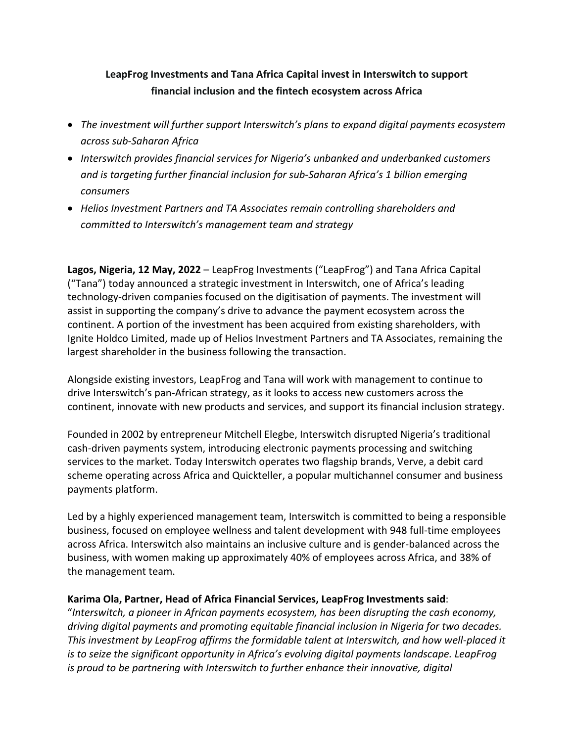# **LeapFrog Investments and Tana Africa Capital invest in Interswitch to support financial inclusion and the fintech ecosystem across Africa**

- *The investment will further support Interswitch's plans to expand digital payments ecosystem across sub-Saharan Africa*
- *Interswitch provides financial services for Nigeria's unbanked and underbanked customers and is targeting further financial inclusion for sub-Saharan Africa's 1 billion emerging consumers*
- *Helios Investment Partners and TA Associates remain controlling shareholders and committed to Interswitch's management team and strategy*

**Lagos, Nigeria, 12 May, 2022** – LeapFrog Investments ("LeapFrog") and Tana Africa Capital ("Tana") today announced a strategic investment in Interswitch, one of Africa's leading technology-driven companies focused on the digitisation of payments. The investment will assist in supporting the company's drive to advance the payment ecosystem across the continent. A portion of the investment has been acquired from existing shareholders, with Ignite Holdco Limited, made up of Helios Investment Partners and TA Associates, remaining the largest shareholder in the business following the transaction.

Alongside existing investors, LeapFrog and Tana will work with management to continue to drive Interswitch's pan-African strategy, as it looks to access new customers across the continent, innovate with new products and services, and support its financial inclusion strategy.

Founded in 2002 by entrepreneur Mitchell Elegbe, Interswitch disrupted Nigeria's traditional cash-driven payments system, introducing electronic payments processing and switching services to the market. Today Interswitch operates two flagship brands, Verve, a debit card scheme operating across Africa and Quickteller, a popular multichannel consumer and business payments platform.

Led by a highly experienced management team, Interswitch is committed to being a responsible business, focused on employee wellness and talent development with 948 full-time employees across Africa. Interswitch also maintains an inclusive culture and is gender-balanced across the business, with women making up approximately 40% of employees across Africa, and 38% of the management team.

# **Karima Ola, Partner, Head of Africa Financial Services, LeapFrog Investments said**:

"*Interswitch, a pioneer in African payments ecosystem, has been disrupting the cash economy, driving digital payments and promoting equitable financial inclusion in Nigeria for two decades. This investment by LeapFrog affirms the formidable talent at Interswitch, and how well-placed it is to seize the significant opportunity in Africa's evolving digital payments landscape. LeapFrog is proud to be partnering with Interswitch to further enhance their innovative, digital*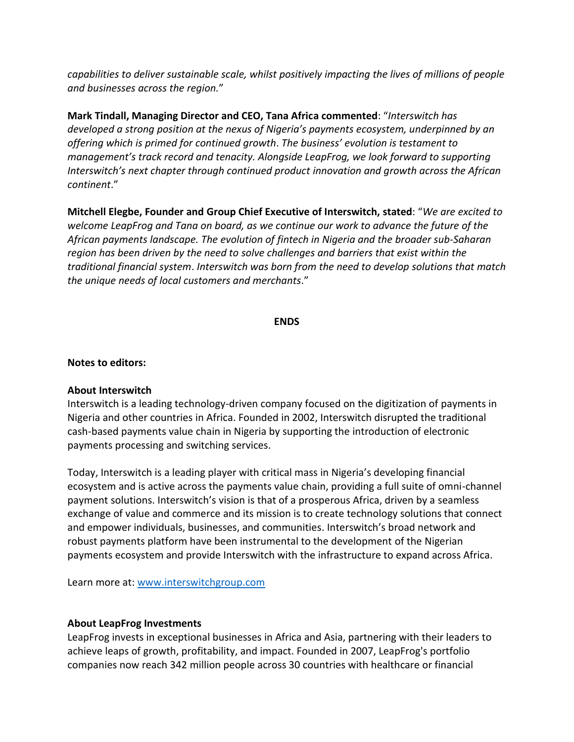*capabilities to deliver sustainable scale, whilst positively impacting the lives of millions of people and businesses across the region.*"

**Mark Tindall, Managing Director and CEO, Tana Africa commented**: "*Interswitch has developed a strong position at the nexus of Nigeria's payments ecosystem, underpinned by an offering which is primed for continued growth*. *The business' evolution is testament to management's track record and tenacity. Alongside LeapFrog, we look forward to supporting Interswitch's next chapter through continued product innovation and growth across the African continent*."

**Mitchell Elegbe, Founder and Group Chief Executive of Interswitch, stated**: "*We are excited to welcome LeapFrog and Tana on board, as we continue our work to advance the future of the African payments landscape. The evolution of fintech in Nigeria and the broader sub-Saharan region has been driven by the need to solve challenges and barriers that exist within the traditional financial system*. *Interswitch was born from the need to develop solutions that match the unique needs of local customers and merchants*."

#### **ENDS**

#### **Notes to editors:**

#### **About Interswitch**

Interswitch is a leading technology-driven company focused on the digitization of payments in Nigeria and other countries in Africa. Founded in 2002, Interswitch disrupted the traditional cash-based payments value chain in Nigeria by supporting the introduction of electronic payments processing and switching services.

Today, Interswitch is a leading player with critical mass in Nigeria's developing financial ecosystem and is active across the payments value chain, providing a full suite of omni-channel payment solutions. Interswitch's vision is that of a prosperous Africa, driven by a seamless exchange of value and commerce and its mission is to create technology solutions that connect and empower individuals, businesses, and communities. Interswitch's broad network and robust payments platform have been instrumental to the development of the Nigerian payments ecosystem and provide Interswitch with the infrastructure to expand across Africa.

Learn more at: [www.interswitchgroup.com](http://www.interswitchgroup.com/)

### **About LeapFrog Investments**

LeapFrog invests in exceptional businesses in Africa and Asia, partnering with their leaders to achieve leaps of growth, profitability, and impact. Founded in 2007, LeapFrog's portfolio companies now reach 342 million people across 30 countries with healthcare or financial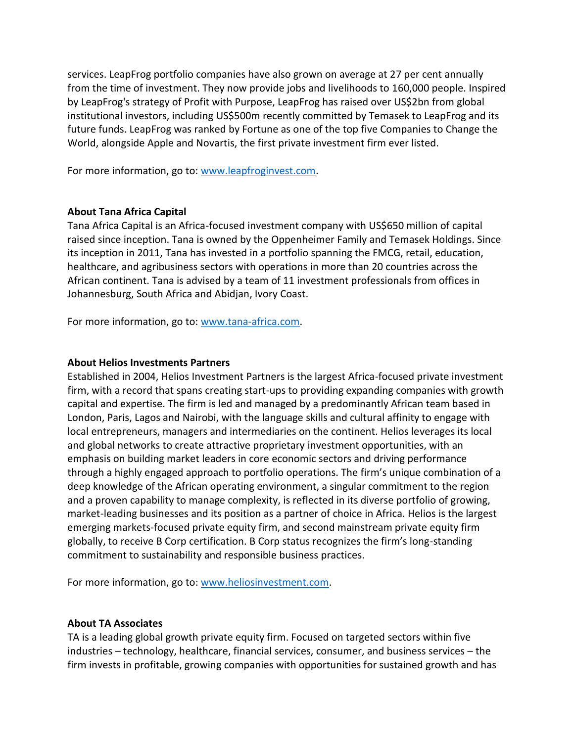services. LeapFrog portfolio companies have also grown on average at 27 per cent annually from the time of investment. They now provide jobs and livelihoods to 160,000 people. Inspired by LeapFrog's strategy of Profit with Purpose, LeapFrog has raised over US\$2bn from global institutional investors, including US\$500m recently committed by Temasek to LeapFrog and its future funds. LeapFrog was ranked by Fortune as one of the top five Companies to Change the World, alongside Apple and Novartis, the first private investment firm ever listed.

For more information, go to: [www.leapfroginvest.com.](http://www.leapfroginvest.com/)

### **About Tana Africa Capital**

Tana Africa Capital is an Africa-focused investment company with US\$650 million of capital raised since inception. Tana is owned by the Oppenheimer Family and Temasek Holdings. Since its inception in 2011, Tana has invested in a portfolio spanning the FMCG, retail, education, healthcare, and agribusiness sectors with operations in more than 20 countries across the African continent. Tana is advised by a team of 11 investment professionals from offices in Johannesburg, South Africa and Abidjan, Ivory Coast.

For more information, go to: [www.tana-africa.com.](http://www.tana-africa.com/)

#### **About Helios Investments Partners**

Established in 2004, Helios Investment Partners is the largest Africa-focused private investment firm, with a record that spans creating start-ups to providing expanding companies with growth capital and expertise. The firm is led and managed by a predominantly African team based in London, Paris, Lagos and Nairobi, with the language skills and cultural affinity to engage with local entrepreneurs, managers and intermediaries on the continent. Helios leverages its local and global networks to create attractive proprietary investment opportunities, with an emphasis on building market leaders in core economic sectors and driving performance through a highly engaged approach to portfolio operations. The firm's unique combination of a deep knowledge of the African operating environment, a singular commitment to the region and a proven capability to manage complexity, is reflected in its diverse portfolio of growing, market-leading businesses and its position as a partner of choice in Africa. Helios is the largest emerging markets-focused private equity firm, and second mainstream private equity firm globally, to receive B Corp certification. B Corp status recognizes the firm's long-standing commitment to sustainability and responsible business practices.

For more information, go to: [www.heliosinvestment.com.](http://www.heliosinvestment.com/)

### **About TA Associates**

TA is a leading global growth private equity firm. Focused on targeted sectors within five industries – technology, healthcare, financial services, consumer, and business services – the firm invests in profitable, growing companies with opportunities for sustained growth and has